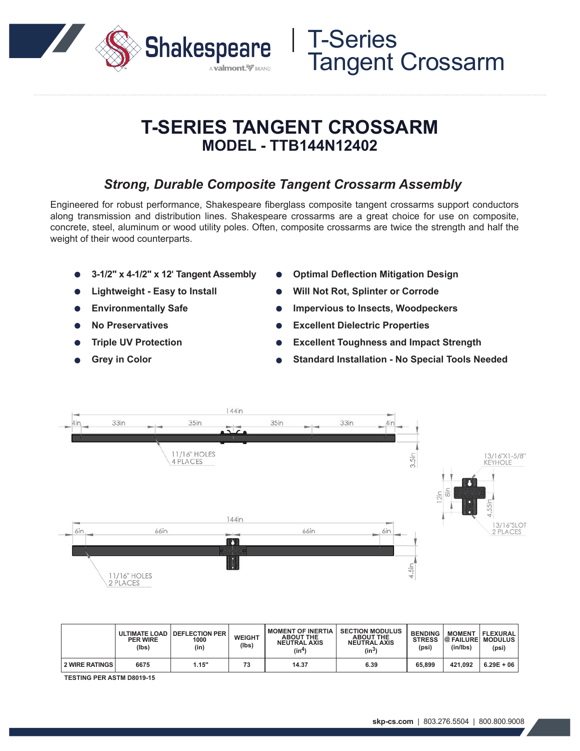

## **T-SERIES TANGENT CROSSARM MODEL - TTB144N12402**

### *Strong, Durable Composite Tangent Crossarm Assembly*

Engineered for robust performance, Shakespeare fiberglass composite tangent crossarms support conductors along transmission and distribution lines. Shakespeare crossarms are a great choice for use on composite, concrete, steel, aluminum or wood utility poles. Often, composite crossarms are twice the strength and half the weight of their wood counterparts.

- **3-1/2" x 4-1/2" x 12' Tangent Assembly**
- **Lightweight Easy to Install**
- **Environmentally Safe**
- **No Preservatives**
- **Triple UV Protection**
- **Grey in Color**
- **Optimal Deflection Mitigation Design**
- **Will Not Rot, Splinter or Corrode**

T-Series

Tangent Crossarm

- **Impervious to Insects, Woodpeckers**
- **Excellent Dielectric Properties**
- **Excellent Toughness and Impact Strength**
- **Standard Installation No Special Tools Needed**



|                       | <b>PER WIRE</b><br>(Ibs) | ULTIMATE LOAD   DEFLECTION PER<br>1000<br>(in) | <b>WEIGHT</b><br>(lbs) | <b>MOMENT OF INERTIA</b><br><b>ABOUT THE</b><br><b>NEUTRAL AXIS</b><br>$(\text{in}^4)$ | <b>SECTION MODULUS</b><br><b>ABOUT THE</b><br><b>NEUTRAL AXIS</b><br>(in <sup>3</sup> ) | <b>BENDING</b><br><b>STRESS</b><br>(psi) | <b>MOMENT</b><br>(in/lbs) | FLEXURAL<br><b>@ FAILURE MODULUS</b><br>(psi) |
|-----------------------|--------------------------|------------------------------------------------|------------------------|----------------------------------------------------------------------------------------|-----------------------------------------------------------------------------------------|------------------------------------------|---------------------------|-----------------------------------------------|
| <b>2 WIRE RATINGS</b> | 6675                     | 1.15"                                          | 73                     | 14.37                                                                                  | 6.39                                                                                    | 65,899                                   | 421.092                   | $6.29E + 06$                                  |

**TESTING PER ASTM D8019-15**